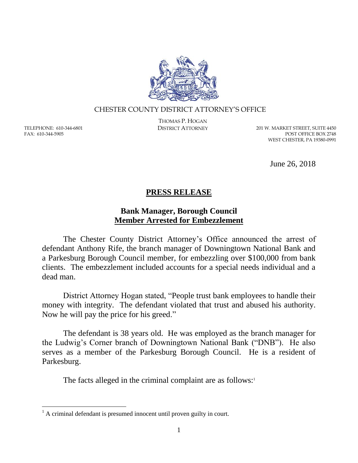

## CHESTER COUNTY DISTRICT ATTORNEY'S OFFICE

TELEPHONE: 610-344-6801 FAX: 610-344-5905

 $\overline{a}$ 

THOMAS P. HOGAN

DISTRICT ATTORNEY 201 W. MARKET STREET, SUITE 4450 POST OFFICE BOX 2748 WEST CHESTER, PA 19380-0991

June 26, 2018

## **PRESS RELEASE**

## **Bank Manager, Borough Council Member Arrested for Embezzlement**

The Chester County District Attorney's Office announced the arrest of defendant Anthony Rife, the branch manager of Downingtown National Bank and a Parkesburg Borough Council member, for embezzling over \$100,000 from bank clients. The embezzlement included accounts for a special needs individual and a dead man.

District Attorney Hogan stated, "People trust bank employees to handle their money with integrity. The defendant violated that trust and abused his authority. Now he will pay the price for his greed."

The defendant is 38 years old. He was employed as the branch manager for the Ludwig's Corner branch of Downingtown National Bank ("DNB"). He also serves as a member of the Parkesburg Borough Council. He is a resident of Parkesburg.

The facts alleged in the criminal complaint are as follows:<sup>1</sup>

 $<sup>1</sup>$  A criminal defendant is presumed innocent until proven guilty in court.</sup>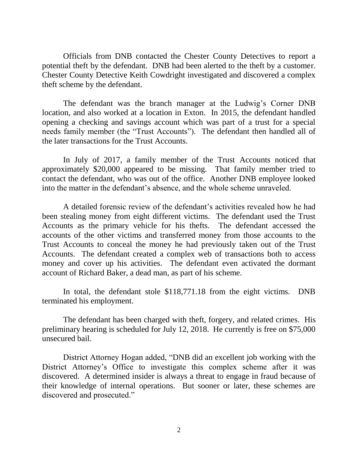Officials from DNB contacted the Chester County Detectives to report a potential theft by the defendant. DNB had been alerted to the theft by a customer. Chester County Detective Keith Cowdright investigated and discovered a complex theft scheme by the defendant.

The defendant was the branch manager at the Ludwig's Corner DNB location, and also worked at a location in Exton. In 2015, the defendant handled opening a checking and savings account which was part of a trust for a special needs family member (the "Trust Accounts"). The defendant then handled all of the later transactions for the Trust Accounts.

In July of 2017, a family member of the Trust Accounts noticed that approximately \$20,000 appeared to be missing. That family member tried to contact the defendant, who was out of the office. Another DNB employee looked into the matter in the defendant's absence, and the whole scheme unraveled.

A detailed forensic review of the defendant's activities revealed how he had been stealing money from eight different victims. The defendant used the Trust Accounts as the primary vehicle for his thefts. The defendant accessed the accounts of the other victims and transferred money from those accounts to the Trust Accounts to conceal the money he had previously taken out of the Trust Accounts. The defendant created a complex web of transactions both to access money and cover up his activities. The defendant even activated the dormant account of Richard Baker, a dead man, as part of his scheme.

In total, the defendant stole \$118,771.18 from the eight victims. DNB terminated his employment.

The defendant has been charged with theft, forgery, and related crimes. His preliminary hearing is scheduled for July 12, 2018. He currently is free on \$75,000 unsecured bail.

District Attorney Hogan added, "DNB did an excellent job working with the District Attorney's Office to investigate this complex scheme after it was discovered. A determined insider is always a threat to engage in fraud because of their knowledge of internal operations. But sooner or later, these schemes are discovered and prosecuted."